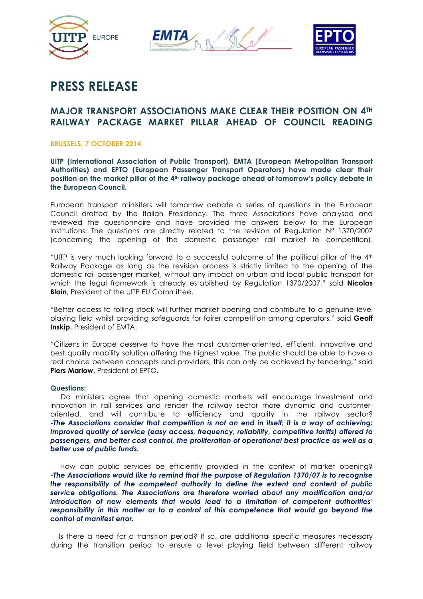





# **PRESS RELEASE**

# **MAJOR TRANSPORT ASSOCIATIONS MAKE CLEAR THEIR POSITION ON 4TH RAILWAY PACKAGE MARKET PILLAR AHEAD OF COUNCIL READING**

## **BRUSSELS, 7 OCTOBER 2014**

**UITP (International Association of Public Transport), EMTA (European Metropolitan Transport Authorities) and EPTO (European Passenger Transport Operators) have made clear their position on the market pillar of the 4th railway package ahead of tomorrow's policy debate in the European Council.** 

European transport minisiters will tomorrow debate a series of questions in the European Council drafted by the Italian Presidency. The three Associations have analysed and reviewed the questionnaire and have provided the answers below to the European Institutions. The questions are directly related to the revision of Regulation N° 1370/2007 (concerning the opening of the domestic passenger rail market to competition).

"UITP is very much looking forward to a successful outcome of the political pillar of the 4th Railway Package as long as the revision process is strictly limited to the opening of the domestic rail passenger market, without any impact on urban and local public transport for which the legal framework is already established by Regulation 1370/2007," said **Nicolas Blain**, President of the UITP EU Committee.

"Better access to rolling stock will further market opening and contribute to a genuine level playing field whilst providing safeguards for fairer competition among operators," said **Geoff Inskip**, President of EMTA.

"Citizens in Europe deserve to have the most customer-oriented, efficient, innovative and best quality mobility solution offering the highest value. The public should be able to have a real choice between concepts and providers, this can only be achieved by tendering," said **Piers Marlow**, President of EPTO.

### **Questions:**

 Do ministers agree that opening domestic markets will encourage investment and innovation in rail services and render the railway sector more dynamic and customeroriented, and will contribute to efficiency and quality in the railway sector? *-The Associations consider that competition is not an end in itself; it is a way of achieving: Improved quality of service (easy access, frequency, reliability, competitive tariffs) offered to passengers, and better cost control, the proliferation of operational best practice as well as a better use of public funds.*

 How can public services be efficiently provided in the context of market opening? *-The Associations would like to remind that the purpose of Regulation 1370/07 is to recognise the responsibility of the competent authority to define the extent and content of public service obligations. The Associations are therefore worried about any modification and/or introduction of new elements that would lead to a limitation of competent authorities' responsibility in this matter or to a control of this competence that would go beyond the control of manifest error.* 

 Is there a need for a transition period? If so, are additional specific measures necessary during the transition period to ensure a level playing field between different railway